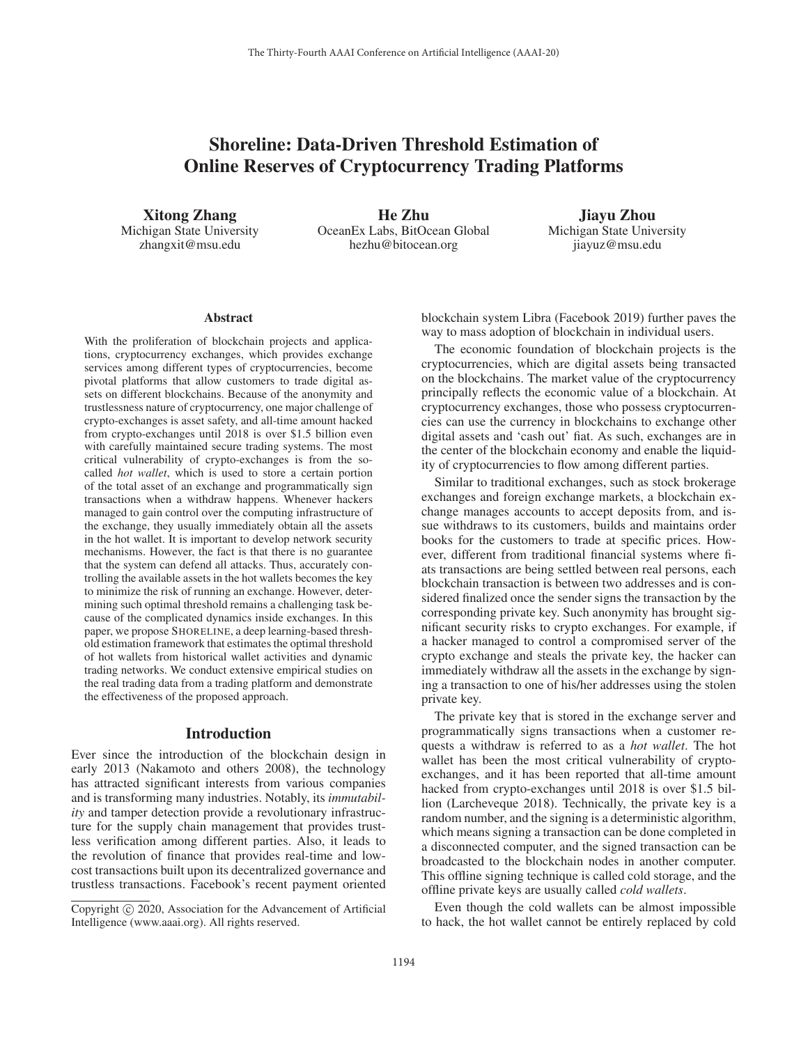# Shoreline: Data-Driven Threshold Estimation of Online Reserves of Cryptocurrency Trading Platforms

Xitong Zhang Michigan State University zhangxit@msu.edu

He Zhu OceanEx Labs, BitOcean Global hezhu@bitocean.org

Jiayu Zhou Michigan State University jiayuz@msu.edu

#### **Abstract**

With the proliferation of blockchain projects and applications, cryptocurrency exchanges, which provides exchange services among different types of cryptocurrencies, become pivotal platforms that allow customers to trade digital assets on different blockchains. Because of the anonymity and trustlessness nature of cryptocurrency, one major challenge of crypto-exchanges is asset safety, and all-time amount hacked from crypto-exchanges until 2018 is over \$1.5 billion even with carefully maintained secure trading systems. The most critical vulnerability of crypto-exchanges is from the socalled *hot wallet*, which is used to store a certain portion of the total asset of an exchange and programmatically sign transactions when a withdraw happens. Whenever hackers managed to gain control over the computing infrastructure of the exchange, they usually immediately obtain all the assets in the hot wallet. It is important to develop network security mechanisms. However, the fact is that there is no guarantee that the system can defend all attacks. Thus, accurately controlling the available assets in the hot wallets becomes the key to minimize the risk of running an exchange. However, determining such optimal threshold remains a challenging task because of the complicated dynamics inside exchanges. In this paper, we propose SHORELINE, a deep learning-based threshold estimation framework that estimates the optimal threshold of hot wallets from historical wallet activities and dynamic trading networks. We conduct extensive empirical studies on the real trading data from a trading platform and demonstrate the effectiveness of the proposed approach.

#### Introduction

Ever since the introduction of the blockchain design in early 2013 (Nakamoto and others 2008), the technology has attracted significant interests from various companies and is transforming many industries. Notably, its *immutability* and tamper detection provide a revolutionary infrastructure for the supply chain management that provides trustless verification among different parties. Also, it leads to the revolution of finance that provides real-time and lowcost transactions built upon its decentralized governance and trustless transactions. Facebook's recent payment oriented blockchain system Libra (Facebook 2019) further paves the way to mass adoption of blockchain in individual users.

The economic foundation of blockchain projects is the cryptocurrencies, which are digital assets being transacted on the blockchains. The market value of the cryptocurrency principally reflects the economic value of a blockchain. At cryptocurrency exchanges, those who possess cryptocurrencies can use the currency in blockchains to exchange other digital assets and 'cash out' fiat. As such, exchanges are in the center of the blockchain economy and enable the liquidity of cryptocurrencies to flow among different parties.

Similar to traditional exchanges, such as stock brokerage exchanges and foreign exchange markets, a blockchain exchange manages accounts to accept deposits from, and issue withdraws to its customers, builds and maintains order books for the customers to trade at specific prices. However, different from traditional financial systems where fiats transactions are being settled between real persons, each blockchain transaction is between two addresses and is considered finalized once the sender signs the transaction by the corresponding private key. Such anonymity has brought significant security risks to crypto exchanges. For example, if a hacker managed to control a compromised server of the crypto exchange and steals the private key, the hacker can immediately withdraw all the assets in the exchange by signing a transaction to one of his/her addresses using the stolen private key.

The private key that is stored in the exchange server and programmatically signs transactions when a customer requests a withdraw is referred to as a *hot wallet*. The hot wallet has been the most critical vulnerability of cryptoexchanges, and it has been reported that all-time amount hacked from crypto-exchanges until 2018 is over \$1.5 billion (Larcheveque 2018). Technically, the private key is a random number, and the signing is a deterministic algorithm, which means signing a transaction can be done completed in a disconnected computer, and the signed transaction can be broadcasted to the blockchain nodes in another computer. This offline signing technique is called cold storage, and the offline private keys are usually called *cold wallets*.

Even though the cold wallets can be almost impossible to hack, the hot wallet cannot be entirely replaced by cold

Copyright  $\odot$  2020, Association for the Advancement of Artificial Intelligence (www.aaai.org). All rights reserved.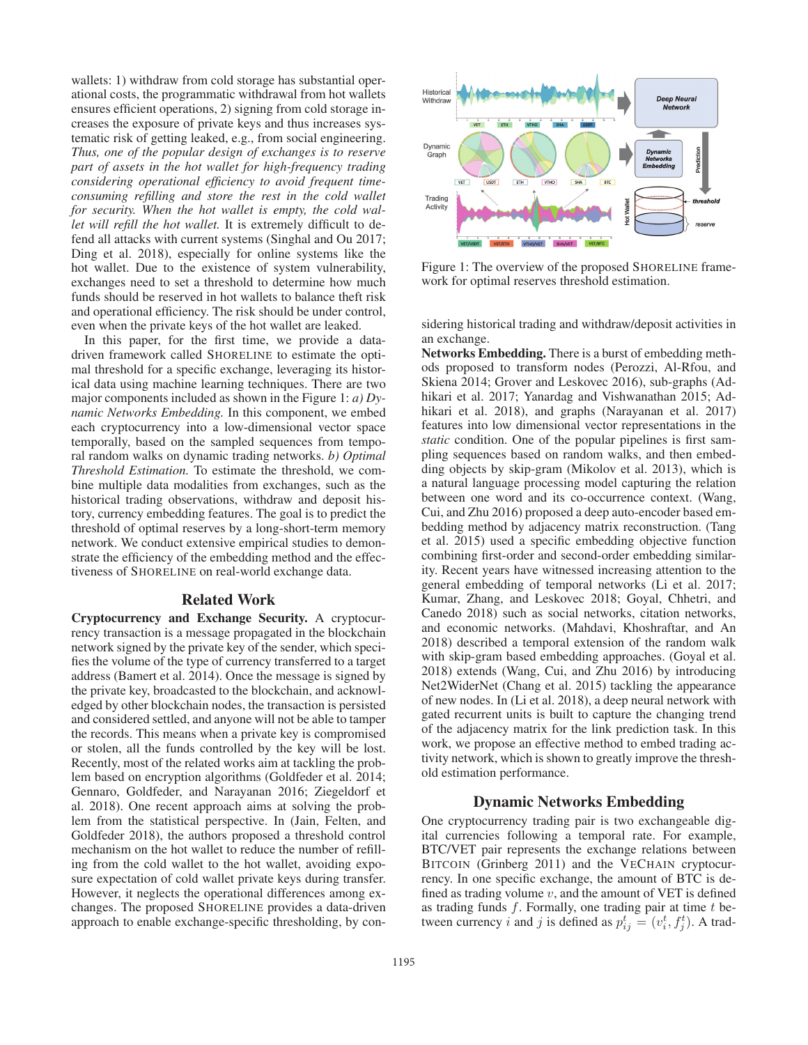wallets: 1) withdraw from cold storage has substantial operational costs, the programmatic withdrawal from hot wallets ensures efficient operations, 2) signing from cold storage increases the exposure of private keys and thus increases systematic risk of getting leaked, e.g., from social engineering. *Thus, one of the popular design of exchanges is to reserve part of assets in the hot wallet for high-frequency trading considering operational efficiency to avoid frequent timeconsuming refilling and store the rest in the cold wallet for security. When the hot wallet is empty, the cold wallet will refill the hot wallet.* It is extremely difficult to defend all attacks with current systems (Singhal and Ou 2017; Ding et al. 2018), especially for online systems like the hot wallet. Due to the existence of system vulnerability, exchanges need to set a threshold to determine how much funds should be reserved in hot wallets to balance theft risk and operational efficiency. The risk should be under control, even when the private keys of the hot wallet are leaked.

In this paper, for the first time, we provide a datadriven framework called SHORELINE to estimate the optimal threshold for a specific exchange, leveraging its historical data using machine learning techniques. There are two major components included as shown in the Figure 1: *a) Dynamic Networks Embedding.* In this component, we embed each cryptocurrency into a low-dimensional vector space temporally, based on the sampled sequences from temporal random walks on dynamic trading networks. *b) Optimal Threshold Estimation.* To estimate the threshold, we combine multiple data modalities from exchanges, such as the historical trading observations, withdraw and deposit history, currency embedding features. The goal is to predict the threshold of optimal reserves by a long-short-term memory network. We conduct extensive empirical studies to demonstrate the efficiency of the embedding method and the effectiveness of SHORELINE on real-world exchange data.

#### Related Work

Cryptocurrency and Exchange Security. A cryptocurrency transaction is a message propagated in the blockchain network signed by the private key of the sender, which specifies the volume of the type of currency transferred to a target address (Bamert et al. 2014). Once the message is signed by the private key, broadcasted to the blockchain, and acknowledged by other blockchain nodes, the transaction is persisted and considered settled, and anyone will not be able to tamper the records. This means when a private key is compromised or stolen, all the funds controlled by the key will be lost. Recently, most of the related works aim at tackling the problem based on encryption algorithms (Goldfeder et al. 2014; Gennaro, Goldfeder, and Narayanan 2016; Ziegeldorf et al. 2018). One recent approach aims at solving the problem from the statistical perspective. In (Jain, Felten, and Goldfeder 2018), the authors proposed a threshold control mechanism on the hot wallet to reduce the number of refilling from the cold wallet to the hot wallet, avoiding exposure expectation of cold wallet private keys during transfer. However, it neglects the operational differences among exchanges. The proposed SHORELINE provides a data-driven approach to enable exchange-specific thresholding, by con-



Figure 1: The overview of the proposed SHORELINE framework for optimal reserves threshold estimation.

sidering historical trading and withdraw/deposit activities in an exchange.

Networks Embedding. There is a burst of embedding methods proposed to transform nodes (Perozzi, Al-Rfou, and Skiena 2014; Grover and Leskovec 2016), sub-graphs (Adhikari et al. 2017; Yanardag and Vishwanathan 2015; Adhikari et al. 2018), and graphs (Narayanan et al. 2017) features into low dimensional vector representations in the *static* condition. One of the popular pipelines is first sampling sequences based on random walks, and then embedding objects by skip-gram (Mikolov et al. 2013), which is a natural language processing model capturing the relation between one word and its co-occurrence context. (Wang, Cui, and Zhu 2016) proposed a deep auto-encoder based embedding method by adjacency matrix reconstruction. (Tang et al. 2015) used a specific embedding objective function combining first-order and second-order embedding similarity. Recent years have witnessed increasing attention to the general embedding of temporal networks (Li et al. 2017; Kumar, Zhang, and Leskovec 2018; Goyal, Chhetri, and Canedo 2018) such as social networks, citation networks, and economic networks. (Mahdavi, Khoshraftar, and An 2018) described a temporal extension of the random walk with skip-gram based embedding approaches. (Goyal et al. 2018) extends (Wang, Cui, and Zhu 2016) by introducing Net2WiderNet (Chang et al. 2015) tackling the appearance of new nodes. In (Li et al. 2018), a deep neural network with gated recurrent units is built to capture the changing trend of the adjacency matrix for the link prediction task. In this work, we propose an effective method to embed trading activity network, which is shown to greatly improve the threshold estimation performance.

## Dynamic Networks Embedding

One cryptocurrency trading pair is two exchangeable digital currencies following a temporal rate. For example, BTC/VET pair represents the exchange relations between BITCOIN (Grinberg 2011) and the VECHAIN cryptocurrency. In one specific exchange, the amount of BTC is defined as trading volume  $v$ , and the amount of VET is defined as trading funds  $f$ . Formally, one trading pair at time  $t$  between currency i and j is defined as  $p_{ij}^t = (v_i^t, f_j^t)$ . A trad-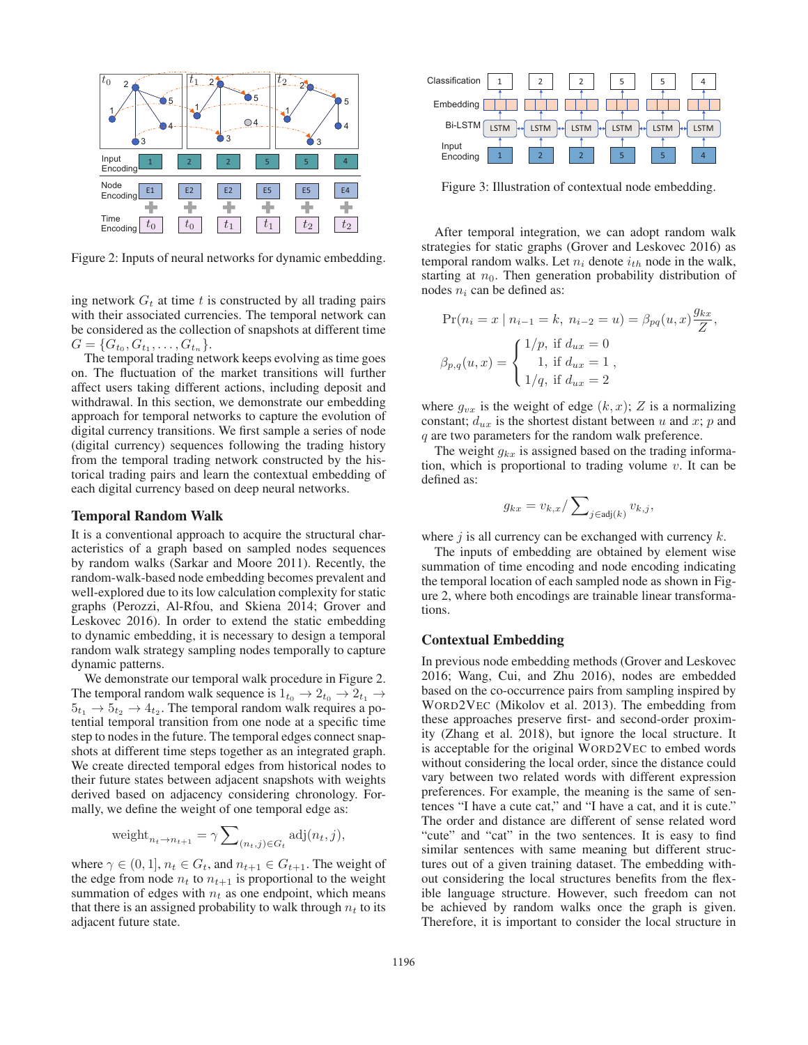

Figure 2: Inputs of neural networks for dynamic embedding.

ing network  $G_t$  at time t is constructed by all trading pairs with their associated currencies. The temporal network can be considered as the collection of snapshots at different time  $G = \{G_{t_0}, G_{t_1}, \ldots, G_{t_n}\}.$ 

The temporal trading network keeps evolving as time goes on. The fluctuation of the market transitions will further affect users taking different actions, including deposit and withdrawal. In this section, we demonstrate our embedding approach for temporal networks to capture the evolution of digital currency transitions. We first sample a series of node (digital currency) sequences following the trading history from the temporal trading network constructed by the historical trading pairs and learn the contextual embedding of each digital currency based on deep neural networks.

#### Temporal Random Walk

It is a conventional approach to acquire the structural characteristics of a graph based on sampled nodes sequences by random walks (Sarkar and Moore 2011). Recently, the random-walk-based node embedding becomes prevalent and well-explored due to its low calculation complexity for static graphs (Perozzi, Al-Rfou, and Skiena 2014; Grover and Leskovec 2016). In order to extend the static embedding to dynamic embedding, it is necessary to design a temporal random walk strategy sampling nodes temporally to capture dynamic patterns.

We demonstrate our temporal walk procedure in Figure 2. The temporal random walk sequence is  $1_{t_0} \rightarrow 2_{t_0} \rightarrow 2_{t_1} \rightarrow$  $5t_1 \rightarrow 5t_2 \rightarrow 4t_2$ . The temporal random walk requires a potential temporal transition from one node at a specific time step to nodes in the future. The temporal edges connect snapshots at different time steps together as an integrated graph. We create directed temporal edges from historical nodes to their future states between adjacent snapshots with weights derived based on adjacency considering chronology. Formally, we define the weight of one temporal edge as:

$$
weight_{n_t \to n_{t+1}} = \gamma \sum\nolimits_{(n_t, j) \in G_t} adj(n_t, j),
$$

where  $\gamma \in (0, 1]$ ,  $n_t \in G_t$ , and  $n_{t+1} \in G_{t+1}$ . The weight of the edge from node  $n_t$  to  $n_{t+1}$  is proportional to the weight summation of edges with  $n_t$  as one endpoint, which means that there is an assigned probability to walk through  $n_t$  to its adjacent future state.



Figure 3: Illustration of contextual node embedding.

After temporal integration, we can adopt random walk strategies for static graphs (Grover and Leskovec 2016) as temporal random walks. Let  $n_i$  denote  $i_{th}$  node in the walk, starting at  $n_0$ . Then generation probability distribution of nodes  $n_i$  can be defined as:

$$
\Pr(n_i = x \mid n_{i-1} = k, n_{i-2} = u) = \beta_{pq}(u, x) \frac{g_{kx}}{Z},
$$

$$
\beta_{p,q}(u, x) = \begin{cases} 1/p, \text{ if } d_{ux} = 0\\ 1, \text{ if } d_{ux} = 1\\ 1/q, \text{ if } d_{ux} = 2 \end{cases}
$$

where  $g_{vx}$  is the weight of edge  $(k, x)$ ; Z is a normalizing constant;  $d_{ux}$  is the shortest distant between u and x; p and q are two parameters for the random walk preference.

The weight  $g_{kx}$  is assigned based on the trading information, which is proportional to trading volume  $v$ . It can be defined as:

$$
g_{kx} = v_{k,x} / \sum_{j \in \text{adj}(k)} v_{k,j},
$$

where  $j$  is all currency can be exchanged with currency  $k$ .

The inputs of embedding are obtained by element wise summation of time encoding and node encoding indicating the temporal location of each sampled node as shown in Figure 2, where both encodings are trainable linear transformations.

#### Contextual Embedding

In previous node embedding methods (Grover and Leskovec 2016; Wang, Cui, and Zhu 2016), nodes are embedded based on the co-occurrence pairs from sampling inspired by WORD2VEC (Mikolov et al. 2013). The embedding from these approaches preserve first- and second-order proximity (Zhang et al. 2018), but ignore the local structure. It is acceptable for the original WORD2VEC to embed words without considering the local order, since the distance could vary between two related words with different expression preferences. For example, the meaning is the same of sentences "I have a cute cat," and "I have a cat, and it is cute." The order and distance are different of sense related word "cute" and "cat" in the two sentences. It is easy to find similar sentences with same meaning but different structures out of a given training dataset. The embedding without considering the local structures benefits from the flexible language structure. However, such freedom can not be achieved by random walks once the graph is given. Therefore, it is important to consider the local structure in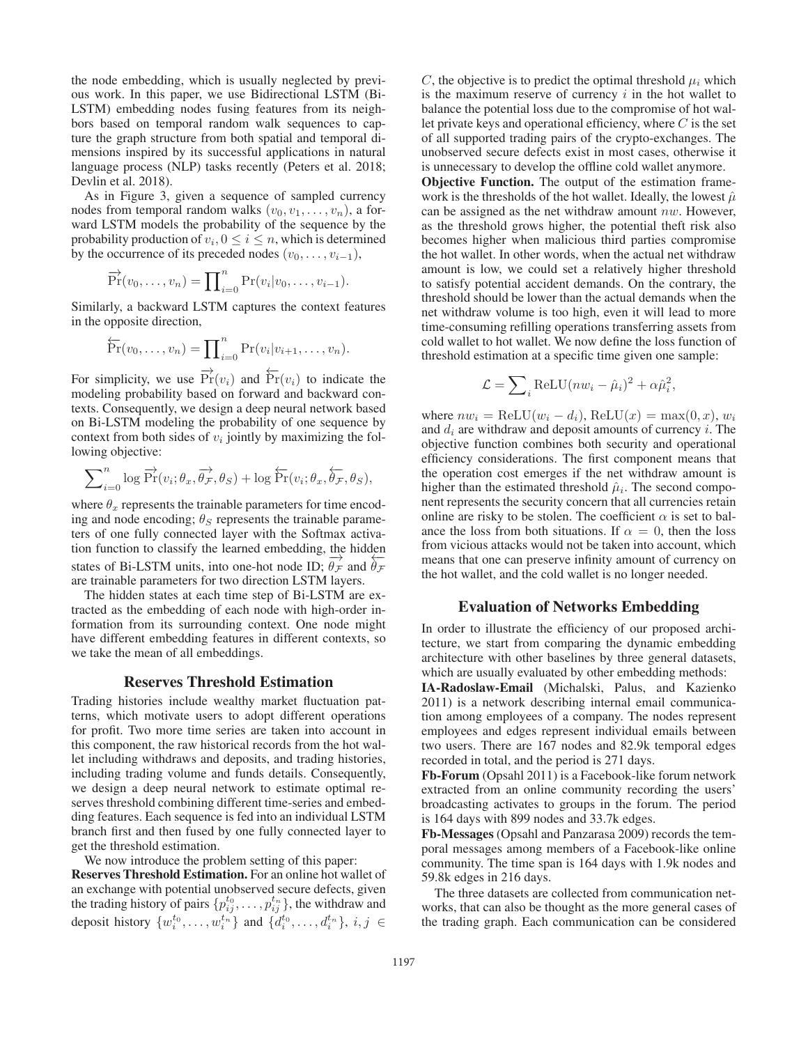the node embedding, which is usually neglected by previous work. In this paper, we use Bidirectional LSTM (Bi-LSTM) embedding nodes fusing features from its neighbors based on temporal random walk sequences to capture the graph structure from both spatial and temporal dimensions inspired by its successful applications in natural language process (NLP) tasks recently (Peters et al. 2018; Devlin et al. 2018).

As in Figure 3, given a sequence of sampled currency nodes from temporal random walks  $(v_0, v_1, \ldots, v_n)$ , a forward LSTM models the probability of the sequence by the probability production of  $v_i$ ,  $0 \le i \le n$ , which is determined by the occurrence of its preceded nodes  $(v_0, \ldots, v_{i-1}),$ 

$$
\overrightarrow{\Pr}(v_0,\ldots,v_n)=\prod_{i=0}^n\Pr(v_i|v_0,\ldots,v_{i-1}).
$$

Similarly, a backward LSTM captures the context features in the opposite direction,

$$
\overleftarrow{\mathrm{Pr}}(v_0,\ldots,v_n)=\prod\nolimits_{i=0}^n\mathrm{Pr}(v_i|v_{i+1},\ldots,v_n).
$$

For simplicity, we use  $\overrightarrow{\Pr}(v_i)$  and  $\overleftarrow{\Pr}(v_i)$  to indicate the modeling probability based on forward and backward contexts. Consequently, we design a deep neural network based on Bi-LSTM modeling the probability of one sequence by context from both sides of  $v_i$  jointly by maximizing the following objective:

$$
\sum\nolimits_{i=0}^n \log \overrightarrow{\Pr}(v_i; \theta_x, \overrightarrow{\theta_{\mathcal{F}}}, \theta_S) + \log \overleftarrow{\Pr}(v_i; \theta_x, \overleftarrow{\theta_{\mathcal{F}}}, \theta_S),
$$

where  $\theta_x$  represents the trainable parameters for time encoding and node encoding;  $\theta_S$  represents the trainable parameters of one fully connected layer with the Softmax activation function to classify the learned embedding, the hidden states of Bi-LSTM units, into one-hot node ID;  $\overrightarrow{\theta_F}$  and  $\overleftarrow{\theta_F}$ are trainable parameters for two direction LSTM layers.

The hidden states at each time step of Bi-LSTM are extracted as the embedding of each node with high-order information from its surrounding context. One node might have different embedding features in different contexts, so we take the mean of all embeddings.

#### Reserves Threshold Estimation

Trading histories include wealthy market fluctuation patterns, which motivate users to adopt different operations for profit. Two more time series are taken into account in this component, the raw historical records from the hot wallet including withdraws and deposits, and trading histories, including trading volume and funds details. Consequently, we design a deep neural network to estimate optimal reserves threshold combining different time-series and embedding features. Each sequence is fed into an individual LSTM branch first and then fused by one fully connected layer to get the threshold estimation.

We now introduce the problem setting of this paper:

Reserves Threshold Estimation. For an online hot wallet of an exchange with potential unobserved secure defects, given the trading history of pairs  $\{p_{ij}^{t_0}, \ldots, p_{ij}^{t_n}\}$ , the withdraw and deposit history  $\{w_i^{t_0}, \ldots, w_i^{t_n}\}$  and  $\{d_i^{t_0}, \ldots, d_i^{t_n}\}, i, j \in$ 

C, the objective is to predict the optimal threshold  $\mu_i$  which is the maximum reserve of currency  $i$  in the hot wallet to balance the potential loss due to the compromise of hot wallet private keys and operational efficiency, where  $C$  is the set of all supported trading pairs of the crypto-exchanges. The unobserved secure defects exist in most cases, otherwise it is unnecessary to develop the offline cold wallet anymore.

Objective Function. The output of the estimation framework is the thresholds of the hot wallet. Ideally, the lowest  $\hat{\mu}$ can be assigned as the net withdraw amount  $nw$ . However, as the threshold grows higher, the potential theft risk also becomes higher when malicious third parties compromise the hot wallet. In other words, when the actual net withdraw amount is low, we could set a relatively higher threshold to satisfy potential accident demands. On the contrary, the threshold should be lower than the actual demands when the net withdraw volume is too high, even it will lead to more time-consuming refilling operations transferring assets from cold wallet to hot wallet. We now define the loss function of threshold estimation at a specific time given one sample:

$$
\mathcal{L} = \sum_{i} \text{ReLU}(nw_i - \hat{\mu}_i)^2 + \alpha \hat{\mu}_i^2,
$$

where  $nw_i = \text{ReLU}(w_i - d_i)$ ,  $\text{ReLU}(x) = \max(0, x)$ ,  $w_i$ and  $d_i$  are withdraw and deposit amounts of currency i. The objective function combines both security and operational efficiency considerations. The first component means that the operation cost emerges if the net withdraw amount is higher than the estimated threshold  $\hat{\mu}_i$ . The second component represents the security concern that all currencies retain online are risky to be stolen. The coefficient  $\alpha$  is set to balance the loss from both situations. If  $\alpha = 0$ , then the loss from vicious attacks would not be taken into account, which means that one can preserve infinity amount of currency on the hot wallet, and the cold wallet is no longer needed.

#### Evaluation of Networks Embedding

In order to illustrate the efficiency of our proposed architecture, we start from comparing the dynamic embedding architecture with other baselines by three general datasets, which are usually evaluated by other embedding methods:

IA-Radoslaw-Email (Michalski, Palus, and Kazienko 2011) is a network describing internal email communication among employees of a company. The nodes represent employees and edges represent individual emails between two users. There are 167 nodes and 82.9k temporal edges recorded in total, and the period is 271 days.

Fb-Forum (Opsahl 2011) is a Facebook-like forum network extracted from an online community recording the users' broadcasting activates to groups in the forum. The period is 164 days with 899 nodes and 33.7k edges.

Fb-Messages (Opsahl and Panzarasa 2009) records the temporal messages among members of a Facebook-like online community. The time span is 164 days with 1.9k nodes and 59.8k edges in 216 days.

The three datasets are collected from communication networks, that can also be thought as the more general cases of the trading graph. Each communication can be considered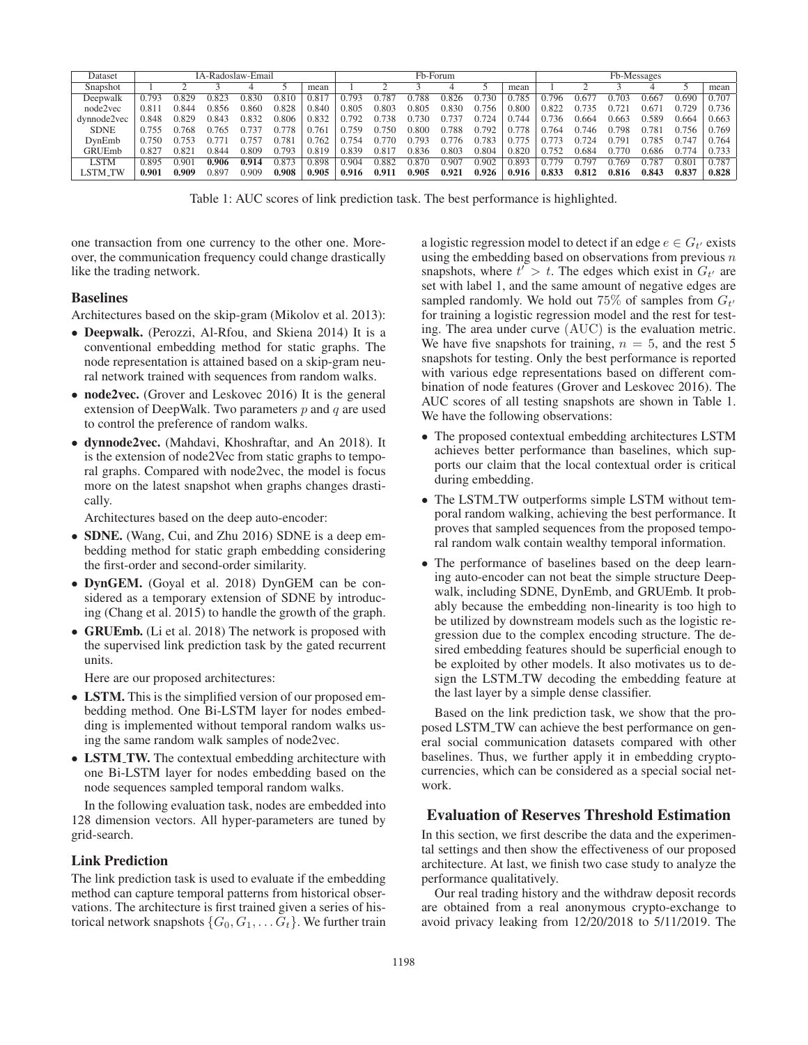| Dataset     | IA-Radoslaw-Email |       |       |              |       |       | Fb-Forum |       |       |       |       |       | Fb-Messages |       |       |       |       |       |
|-------------|-------------------|-------|-------|--------------|-------|-------|----------|-------|-------|-------|-------|-------|-------------|-------|-------|-------|-------|-------|
| Snapshot    |                   |       |       |              |       | mean  |          |       |       |       |       | mean  |             |       |       |       |       | mean  |
| Deepwalk    | 0.793             | ገ ጸ29 | ).823 | 0.830        | 0.810 | 0.817 | 0.793    | 781   | 0.788 | 0.826 | 0.730 | .785  | 0.796       | 1.67  | ን 703 | 0.667 | 0.690 | 0.707 |
| node2vec    | 0.81              | 0.844 | ).856 | 0.860        | 0.828 | 0.840 | 0.805    | 0.803 | 0.805 | 0.830 | 0.756 | 0.800 | 0.822       | 0.735 | 0.721 | 0.671 | 0.729 | 0.736 |
| dynnode2vec | 0.848             | 0.829 | ).843 | 0.832        | 0.806 | 0.832 | በ 792    | 738   | 0.730 | 0.737 | 0.724 | 744   | 0.736       | 0.664 | 0.663 | ን 589 | 0.664 | 0.663 |
| <b>SDNE</b> | 0.755             | 0.768 | 1.765 | .137         | 1778  | 0.76  | 0.759    | 750   | 0.800 | 0.788 | 0.792 | 0.778 | 0.764       | 0.746 | 0.798 | 0.781 | 0.756 | 0.769 |
| DynEmb      | 0.750             | በ 753 |       | $75^{\circ}$ | 0.781 | 0.762 | 0.754    | .770  | 0.793 | 0.776 | 0.783 | 0.775 | በ 773       | 0.724 | በ 791 | በ 785 | 0.74  | 0.764 |
| GRUEmb      | 0.827             | 0.82  | ገ.844 | 0.809        | 0.793 | 0.819 | 0.839    | 0.817 | 0.836 | 0.803 | 0.804 | 0.820 | 0.752       | 9.684 | 0.770 | 0.686 | 0.774 | 0.733 |
| <b>LSTM</b> | 0.895             | 0.901 | 0.906 | 0.914        | 0.873 | 0.898 | 0.904    | 0.882 | 0.870 | 0.907 | 0.902 | 0.893 | 0.779       | 0.797 | 0.769 | 0.787 | 0.801 | 0.787 |
| LSTM_TW     | 0.901             | 0.909 | ).897 | 0.909        | 0.908 | 0.905 | 0.916    | 0.911 | 0.905 | 0.921 | 0.926 | 0.916 | 0.833       | 0.812 | 0.816 | 0.843 | 0.837 | 0.828 |

Table 1: AUC scores of link prediction task. The best performance is highlighted.

one transaction from one currency to the other one. Moreover, the communication frequency could change drastically like the trading network.

#### Baselines

Architectures based on the skip-gram (Mikolov et al. 2013):

- Deepwalk. (Perozzi, Al-Rfou, and Skiena 2014) It is a conventional embedding method for static graphs. The node representation is attained based on a skip-gram neural network trained with sequences from random walks.
- node2vec. (Grover and Leskovec 2016) It is the general extension of DeepWalk. Two parameters  $p$  and  $q$  are used to control the preference of random walks.
- dynnode2vec. (Mahdavi, Khoshraftar, and An 2018). It is the extension of node2Vec from static graphs to temporal graphs. Compared with node2vec, the model is focus more on the latest snapshot when graphs changes drastically.

Architectures based on the deep auto-encoder:

- **SDNE.** (Wang, Cui, and Zhu 2016) SDNE is a deep embedding method for static graph embedding considering the first-order and second-order similarity.
- DynGEM. (Goyal et al. 2018) DynGEM can be considered as a temporary extension of SDNE by introducing (Chang et al. 2015) to handle the growth of the graph.
- GRUEmb. (Li et al. 2018) The network is proposed with the supervised link prediction task by the gated recurrent units.

Here are our proposed architectures:

- LSTM. This is the simplified version of our proposed embedding method. One Bi-LSTM layer for nodes embedding is implemented without temporal random walks using the same random walk samples of node2vec.
- LSTM\_TW. The contextual embedding architecture with one Bi-LSTM layer for nodes embedding based on the node sequences sampled temporal random walks.

In the following evaluation task, nodes are embedded into 128 dimension vectors. All hyper-parameters are tuned by grid-search.

#### Link Prediction

The link prediction task is used to evaluate if the embedding method can capture temporal patterns from historical observations. The architecture is first trained given a series of historical network snapshots  $\{G_0, G_1, \ldots, G_t\}$ . We further train

a logistic regression model to detect if an edge  $e \in G_{t'}$  exists using the embedding based on observations from previous  $n$ snapshots, where  $t' > t$ . The edges which exist in  $G_{t'}$  are set with label 1, and the same amount of negative edges are sampled randomly. We hold out 75% of samples from  $G_{t'}$ for training a logistic regression model and the rest for testing. The area under curve (AUC) is the evaluation metric. We have five snapshots for training,  $n = 5$ , and the rest 5 snapshots for testing. Only the best performance is reported with various edge representations based on different combination of node features (Grover and Leskovec 2016). The AUC scores of all testing snapshots are shown in Table 1. We have the following observations:

- The proposed contextual embedding architectures LSTM achieves better performance than baselines, which supports our claim that the local contextual order is critical during embedding.
- The LSTM\_TW outperforms simple LSTM without temporal random walking, achieving the best performance. It proves that sampled sequences from the proposed temporal random walk contain wealthy temporal information.
- The performance of baselines based on the deep learning auto-encoder can not beat the simple structure Deepwalk, including SDNE, DynEmb, and GRUEmb. It probably because the embedding non-linearity is too high to be utilized by downstream models such as the logistic regression due to the complex encoding structure. The desired embedding features should be superficial enough to be exploited by other models. It also motivates us to design the LSTM\_TW decoding the embedding feature at the last layer by a simple dense classifier.

Based on the link prediction task, we show that the proposed LSTM TW can achieve the best performance on general social communication datasets compared with other baselines. Thus, we further apply it in embedding cryptocurrencies, which can be considered as a special social network.

# Evaluation of Reserves Threshold Estimation

In this section, we first describe the data and the experimental settings and then show the effectiveness of our proposed architecture. At last, we finish two case study to analyze the performance qualitatively.

Our real trading history and the withdraw deposit records are obtained from a real anonymous crypto-exchange to avoid privacy leaking from 12/20/2018 to 5/11/2019. The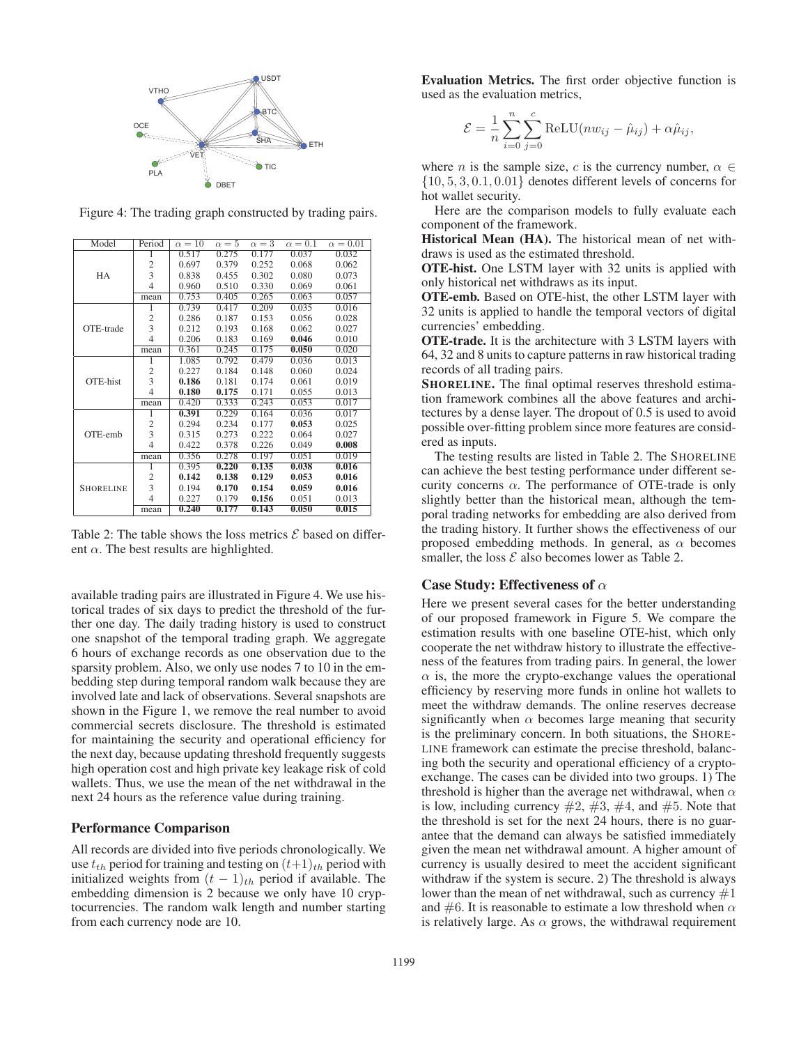

Model Period  $\alpha = 10$   $\alpha = 5$   $\alpha = 3$   $\alpha = 0.1$   $\alpha = 0.01$ <br>1 0.517 0.275 0.177 0.037 0.032 HA 1 0.517 0.275 0.177 0.037 0.032<br>2 0.697 0.379 0.252 0.068 0.062  $\begin{array}{c|cccccc}\n2 & 0.697 & 0.379 & 0.252 & 0.068 & 0.062 \\
3 & 0.838 & 0.455 & 0.302 & 0.080 & 0.073\n\end{array}$ 3 0.838 0.455 0.302 0.080 0.073 0.960 0.510 0.330 0.069 0.061<br>0.753 0.405 0.265 0.063 0.057 mean 0.753 0.405 0.265 0.063 0.057 OTE-trade 1 0.739 0.417 0.209 0.035 0.016 2 0.286 0.187 0.153 0.056 0.028 3 0.212 0.193 0.168 0.062 0.027 4 0.206 0.183 0.169 0.046 0.010 mean 0.361 0.245 0.175 **0.050** 0.020 OTE-hist 1 1.085 0.792 0.479 0.036 0.013 2 0.227 0.184 0.148 0.060 0.024 3 0.186 0.181 0.174 0.061 0.019 4 0.180 0.175 0.171 0.055 0.013 mean 0.420 0.333 0.243 0.053 0.017 OTE-emb 1 **0.391** 0.229 0.164 0.036 0.017<br>2 0.294 0.234 0.177 **0.053** 0.025 2 0.294 0.234 0.177 **0.053** 0.025<br>3 0.315 0.273 0.222 0.064 0.027 3 0.315 0.273 0.222 0.064 0.027 4 0.422 0.378 0.226 0.049 0.008 mean | 0.356 0.278 0.197 0.051 0.019 **SHORELINE** 1 0.395 0.220 0.135 0.038 0.016  $\begin{array}{c|cccc} 2 & 0.142 & 0.138 & 0.129 & 0.053 & 0.016 \\ 3 & 0.194 & 0.170 & 0.154 & 0.059 & 0.016 \end{array}$  $\begin{array}{c|cccc} 3 & 0.194 & \textbf{0.170} & \textbf{0.154} & \textbf{0.059} & \textbf{0.016} \\ 4 & 0.227 & 0.179 & \textbf{0.156} & 0.051 & 0.013 \end{array}$  $\begin{array}{cccc} 0.179 & 0.156 & 0.051 & 0.013 \\ \hline 0.177 & 0.143 & 0.050 & 0.015 \end{array}$  $mean$  0.240 0.177

Figure 4: The trading graph constructed by trading pairs.

Table 2: The table shows the loss metrics  $\mathcal E$  based on different  $\alpha$ . The best results are highlighted.

available trading pairs are illustrated in Figure 4. We use historical trades of six days to predict the threshold of the further one day. The daily trading history is used to construct one snapshot of the temporal trading graph. We aggregate 6 hours of exchange records as one observation due to the sparsity problem. Also, we only use nodes 7 to 10 in the embedding step during temporal random walk because they are involved late and lack of observations. Several snapshots are shown in the Figure 1, we remove the real number to avoid commercial secrets disclosure. The threshold is estimated for maintaining the security and operational efficiency for the next day, because updating threshold frequently suggests high operation cost and high private key leakage risk of cold wallets. Thus, we use the mean of the net withdrawal in the next 24 hours as the reference value during training.

#### Performance Comparison

All records are divided into five periods chronologically. We use  $t_{th}$  period for training and testing on  $(t+1)_{th}$  period with initialized weights from  $(t - 1)$ <sub>th</sub> period if available. The embedding dimension is 2 because we only have 10 cryptocurrencies. The random walk length and number starting from each currency node are 10.

Evaluation Metrics. The first order objective function is used as the evaluation metrics,

$$
\mathcal{E} = \frac{1}{n} \sum_{i=0}^{n} \sum_{j=0}^{c} \text{ReLU}(nw_{ij} - \hat{\mu}_{ij}) + \alpha \hat{\mu}_{ij},
$$

where *n* is the sample size, *c* is the currency number,  $\alpha \in$  $\{10, 5, 3, 0.1, 0.01\}$  denotes different levels of concerns for hot wallet security.

Here are the comparison models to fully evaluate each component of the framework.

Historical Mean (HA). The historical mean of net withdraws is used as the estimated threshold.

OTE-hist. One LSTM layer with 32 units is applied with only historical net withdraws as its input.

OTE-emb. Based on OTE-hist, the other LSTM layer with 32 units is applied to handle the temporal vectors of digital currencies' embedding.

OTE-trade. It is the architecture with 3 LSTM layers with 64, 32 and 8 units to capture patterns in raw historical trading records of all trading pairs.

SHORELINE. The final optimal reserves threshold estimation framework combines all the above features and architectures by a dense layer. The dropout of 0.5 is used to avoid possible over-fitting problem since more features are considered as inputs.

The testing results are listed in Table 2. The SHORELINE can achieve the best testing performance under different security concerns  $\alpha$ . The performance of OTE-trade is only slightly better than the historical mean, although the temporal trading networks for embedding are also derived from the trading history. It further shows the effectiveness of our proposed embedding methods. In general, as  $\alpha$  becomes smaller, the loss  $\mathcal E$  also becomes lower as Table 2.

#### Case Study: Effectiveness of  $\alpha$

Here we present several cases for the better understanding of our proposed framework in Figure 5. We compare the estimation results with one baseline OTE-hist, which only cooperate the net withdraw history to illustrate the effectiveness of the features from trading pairs. In general, the lower  $\alpha$  is, the more the crypto-exchange values the operational efficiency by reserving more funds in online hot wallets to meet the withdraw demands. The online reserves decrease significantly when  $\alpha$  becomes large meaning that security is the preliminary concern. In both situations, the SHORE-LINE framework can estimate the precise threshold, balancing both the security and operational efficiency of a cryptoexchange. The cases can be divided into two groups. 1) The threshold is higher than the average net withdrawal, when  $\alpha$ is low, including currency  $\#2$ ,  $\#3$ ,  $\#4$ , and  $\#5$ . Note that the threshold is set for the next 24 hours, there is no guarantee that the demand can always be satisfied immediately given the mean net withdrawal amount. A higher amount of currency is usually desired to meet the accident significant withdraw if the system is secure. 2) The threshold is always lower than the mean of net withdrawal, such as currency  $#1$ and  $\#6$ . It is reasonable to estimate a low threshold when  $\alpha$ is relatively large. As  $\alpha$  grows, the withdrawal requirement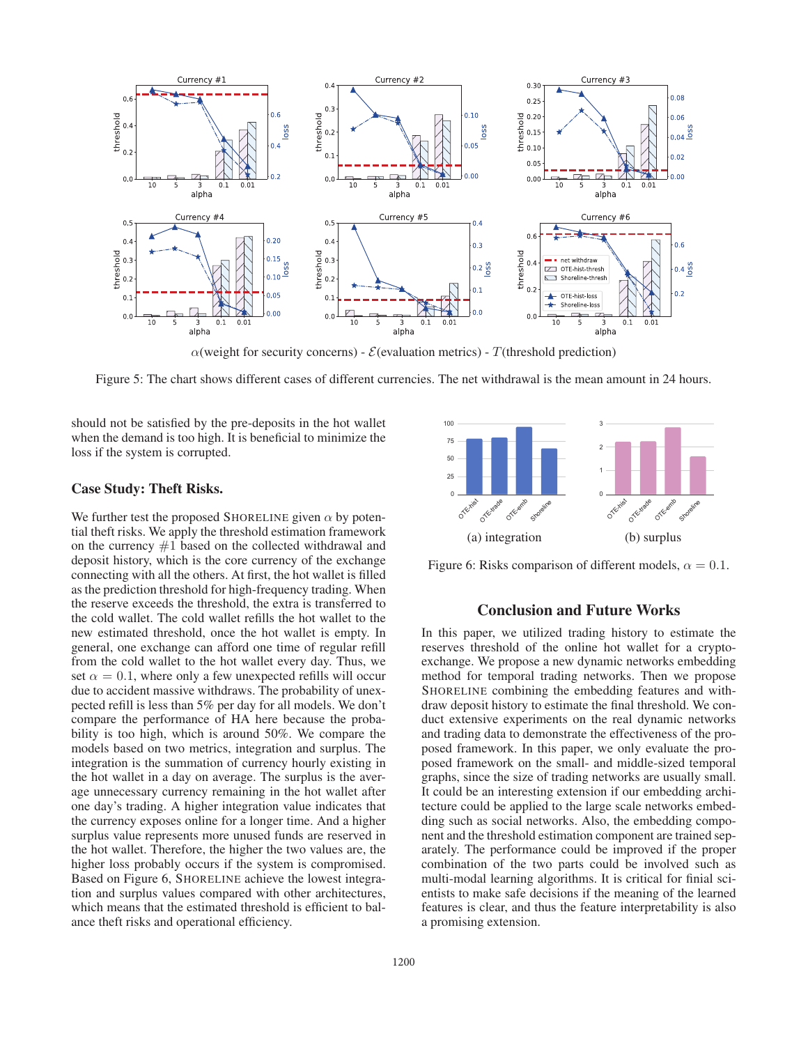

 $\alpha$ (weight for security concerns) -  $\mathcal{E}$ (evaluation metrics) - T(threshold prediction)

Figure 5: The chart shows different cases of different currencies. The net withdrawal is the mean amount in 24 hours.

should not be satisfied by the pre-deposits in the hot wallet when the demand is too high. It is beneficial to minimize the loss if the system is corrupted.

## Case Study: Theft Risks.

We further test the proposed SHORELINE given  $\alpha$  by potential theft risks. We apply the threshold estimation framework on the currency  $#1$  based on the collected withdrawal and deposit history, which is the core currency of the exchange connecting with all the others. At first, the hot wallet is filled as the prediction threshold for high-frequency trading. When the reserve exceeds the threshold, the extra is transferred to the cold wallet. The cold wallet refills the hot wallet to the new estimated threshold, once the hot wallet is empty. In general, one exchange can afford one time of regular refill from the cold wallet to the hot wallet every day. Thus, we set  $\alpha = 0.1$ , where only a few unexpected refills will occur due to accident massive withdraws. The probability of unexpected refill is less than 5% per day for all models. We don't compare the performance of HA here because the probability is too high, which is around 50%. We compare the models based on two metrics, integration and surplus. The integration is the summation of currency hourly existing in the hot wallet in a day on average. The surplus is the average unnecessary currency remaining in the hot wallet after one day's trading. A higher integration value indicates that the currency exposes online for a longer time. And a higher surplus value represents more unused funds are reserved in the hot wallet. Therefore, the higher the two values are, the higher loss probably occurs if the system is compromised. Based on Figure 6, SHORELINE achieve the lowest integration and surplus values compared with other architectures, which means that the estimated threshold is efficient to balance theft risks and operational efficiency.



Figure 6: Risks comparison of different models,  $\alpha = 0.1$ .

## Conclusion and Future Works

In this paper, we utilized trading history to estimate the reserves threshold of the online hot wallet for a cryptoexchange. We propose a new dynamic networks embedding method for temporal trading networks. Then we propose SHORELINE combining the embedding features and withdraw deposit history to estimate the final threshold. We conduct extensive experiments on the real dynamic networks and trading data to demonstrate the effectiveness of the proposed framework. In this paper, we only evaluate the proposed framework on the small- and middle-sized temporal graphs, since the size of trading networks are usually small. It could be an interesting extension if our embedding architecture could be applied to the large scale networks embedding such as social networks. Also, the embedding component and the threshold estimation component are trained separately. The performance could be improved if the proper combination of the two parts could be involved such as multi-modal learning algorithms. It is critical for finial scientists to make safe decisions if the meaning of the learned features is clear, and thus the feature interpretability is also a promising extension.